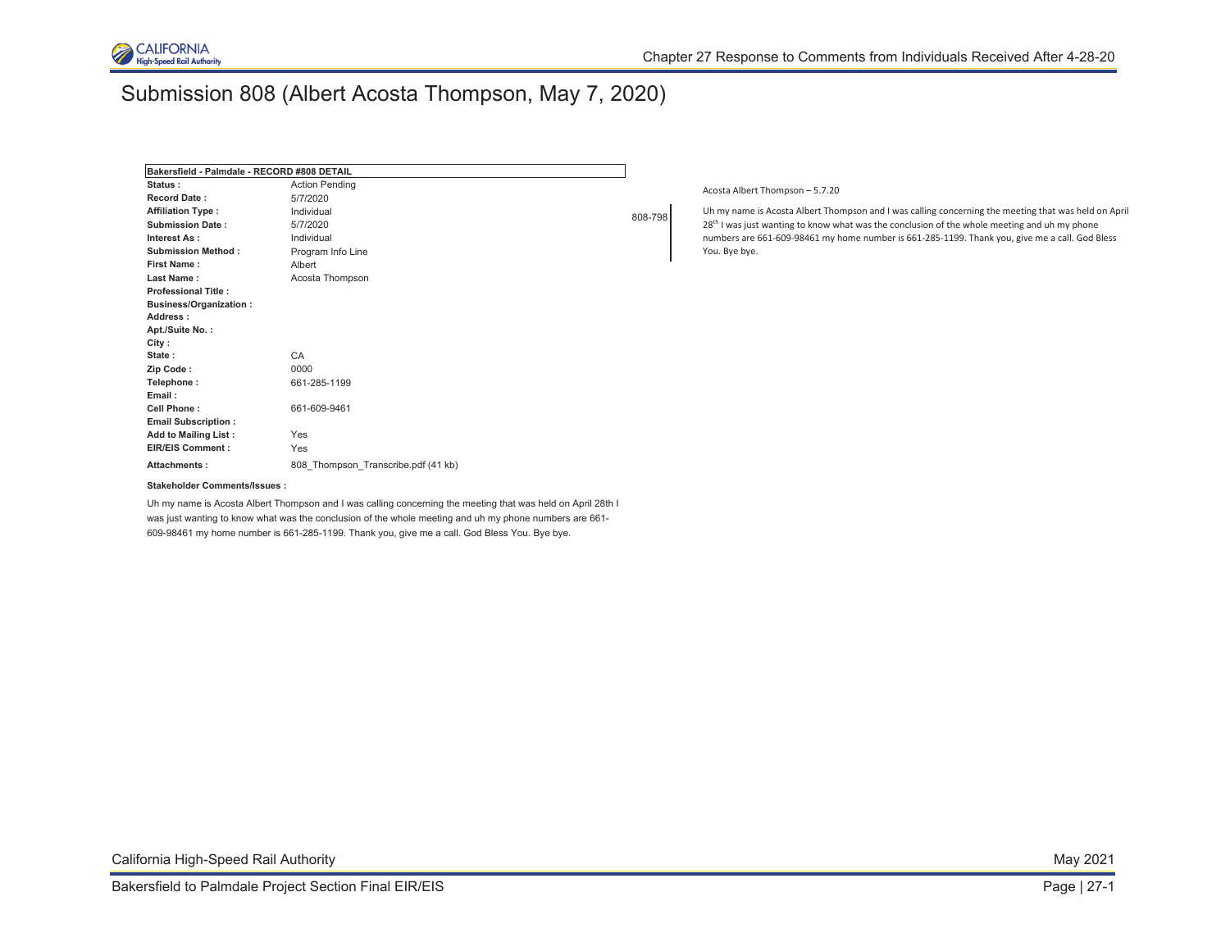

## Submission 808 (Albert Acosta Thompson, May 7, 2020)

| Bakersfield - Palmdale - RECORD #808 DETAIL |                  |
|---------------------------------------------|------------------|
| <b>Action Pending</b>                       | Acos             |
| 5/7/2020                                    |                  |
| Individual                                  | Uh n             |
| 5/7/2020                                    | 28 <sup>th</sup> |
| Individual                                  | num              |
| Program Info Line                           | You.             |
| Albert                                      |                  |
| Acosta Thompson                             |                  |
|                                             |                  |
|                                             |                  |
|                                             |                  |
|                                             |                  |
|                                             |                  |
| CA                                          |                  |
| 0000                                        |                  |
| 661-285-1199                                |                  |
|                                             |                  |
| 661-609-9461                                |                  |
|                                             |                  |
| Yes                                         |                  |
| Yes                                         |                  |
| 808 Thompson Transcribe.pdf (41 kb)         |                  |
|                                             | 808-798          |

sta Albert Thompson – 5.7.20

my name is Acosta Albert Thompson and I was calling concerning the meeting that was held on April <sup>1</sup> I was just wanting to know what was the conclusion of the whole meeting and uh my phone hbers are 661-609-98461 my home number is 661-285-1199. Thank you, give me a call. God Bless . Bye bye.

#### **Stakeholder Comments/Issues :**

Uh my name is Acosta Albert Thompson and I was calling concerning the meeting that was held on April 28th I was just wanting to know what was the conclusion of the whole meeting and uh my phone numbers are 661- 609-98461 my home number is 661-285-1199. Thank you, give me a call. God Bless You. Bye bye.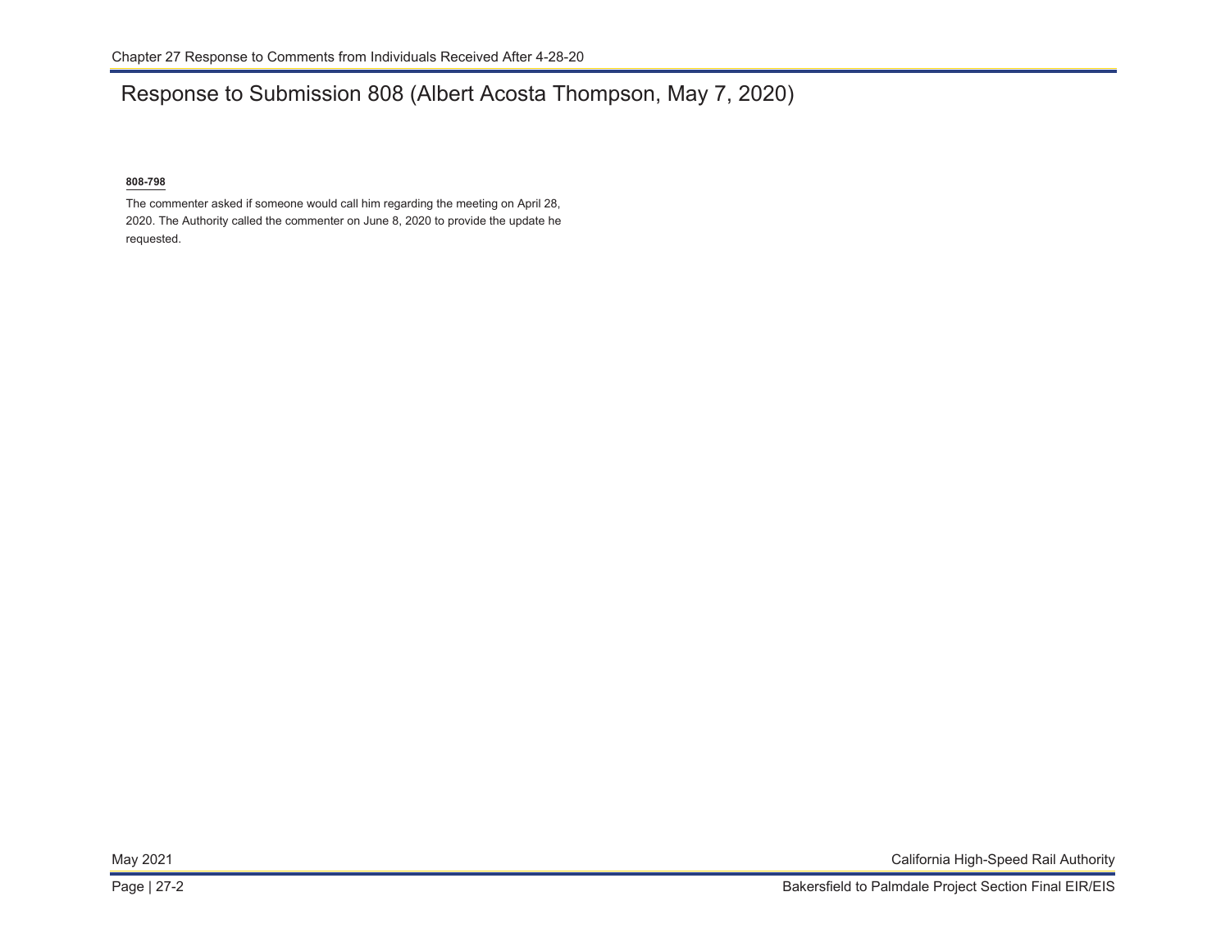# Response to Submission 808 (Albert Acosta Thompson, May 7, 2020)

### **808-798**

The commenter asked if someone would call him regarding the meeting on April 28, 2020. The Authority called the commenter on June 8, 2020 to provide the update he requested.

May 2021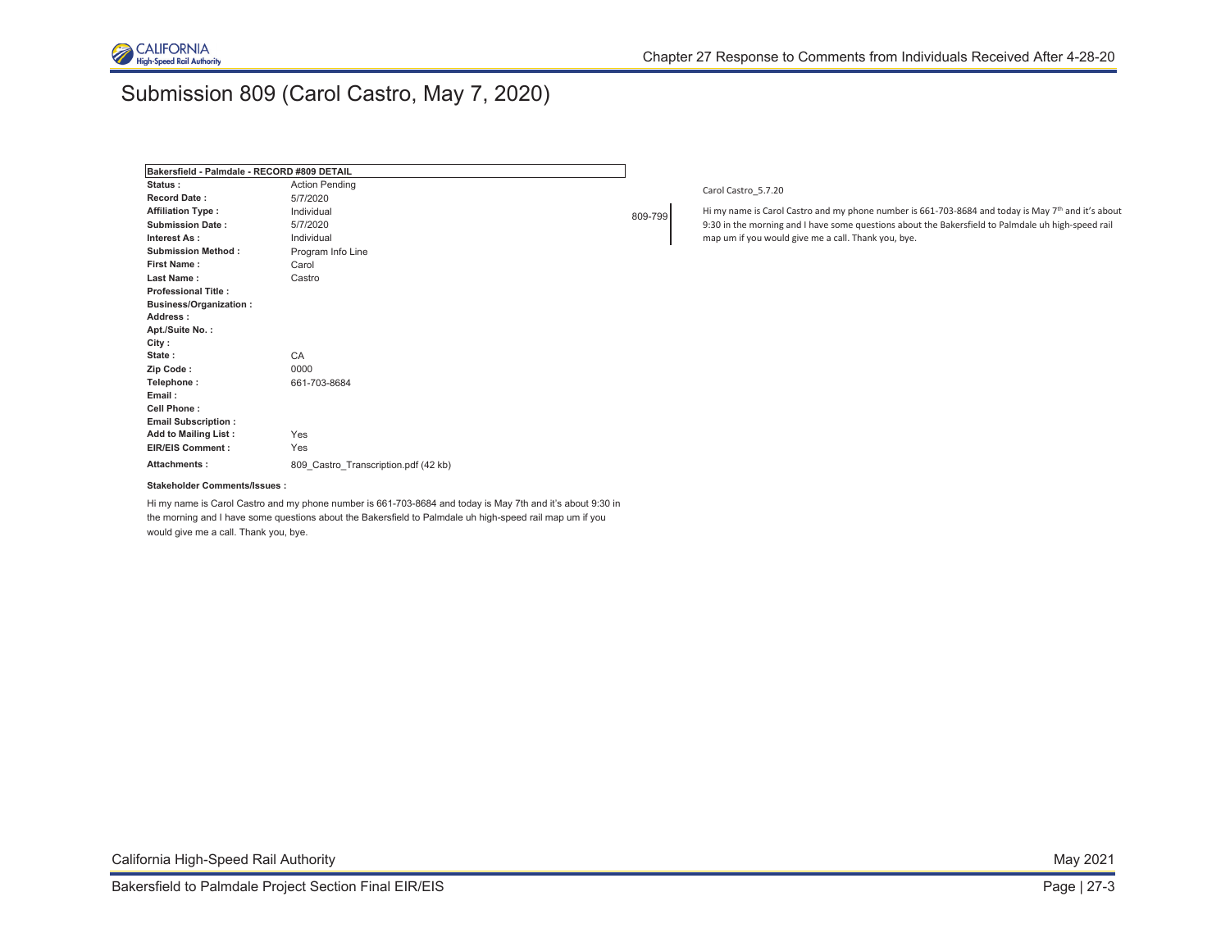

## Submission 809 (Carol Castro, May 7, 2020)

| Bakersfield - Palmdale - RECORD #809 DETAIL |                                      |  |
|---------------------------------------------|--------------------------------------|--|
| Status:                                     | <b>Action Pending</b>                |  |
| <b>Record Date:</b>                         | 5/7/2020                             |  |
| <b>Affiliation Type:</b>                    | Individual                           |  |
| <b>Submission Date:</b>                     | 5/7/2020                             |  |
| Interest As:                                | Individual                           |  |
| <b>Submission Method:</b>                   | Program Info Line                    |  |
| First Name:                                 | Carol                                |  |
| Last Name:                                  | Castro                               |  |
| <b>Professional Title:</b>                  |                                      |  |
| <b>Business/Organization:</b>               |                                      |  |
| Address:                                    |                                      |  |
| Apt./Suite No.:                             |                                      |  |
| City:                                       |                                      |  |
| State:                                      | CA                                   |  |
| Zip Code:                                   | 0000                                 |  |
| Telephone:                                  | 661-703-8684                         |  |
| Email:                                      |                                      |  |
| Cell Phone:                                 |                                      |  |
| <b>Email Subscription:</b>                  |                                      |  |
| <b>Add to Mailing List:</b>                 | Yes                                  |  |
| <b>EIR/EIS Comment:</b>                     | Yes                                  |  |
| Attachments:                                | 809_Castro_Transcription.pdf (42 kb) |  |

### Carol Castro\_5.7.20

809-799 Hi my name is Carol Castro and my phone number is 661-703-8684 and today is May 7<sup>th</sup> and it's about 9:30 in the morning and I have some questions about the Bakersfield to Palmdale uh high-speed rail map um if you would give me a call. Thank you, bye.

#### **Stakeholder Comments/Issues :**

Hi my name is Carol Castro and my phone number is 661-703-8684 and today is May 7th and it's about 9:30 in the morning and I have some questions about the Bakersfield to Palmdale uh high-speed rail map um if you would give me a call. Thank you, bye.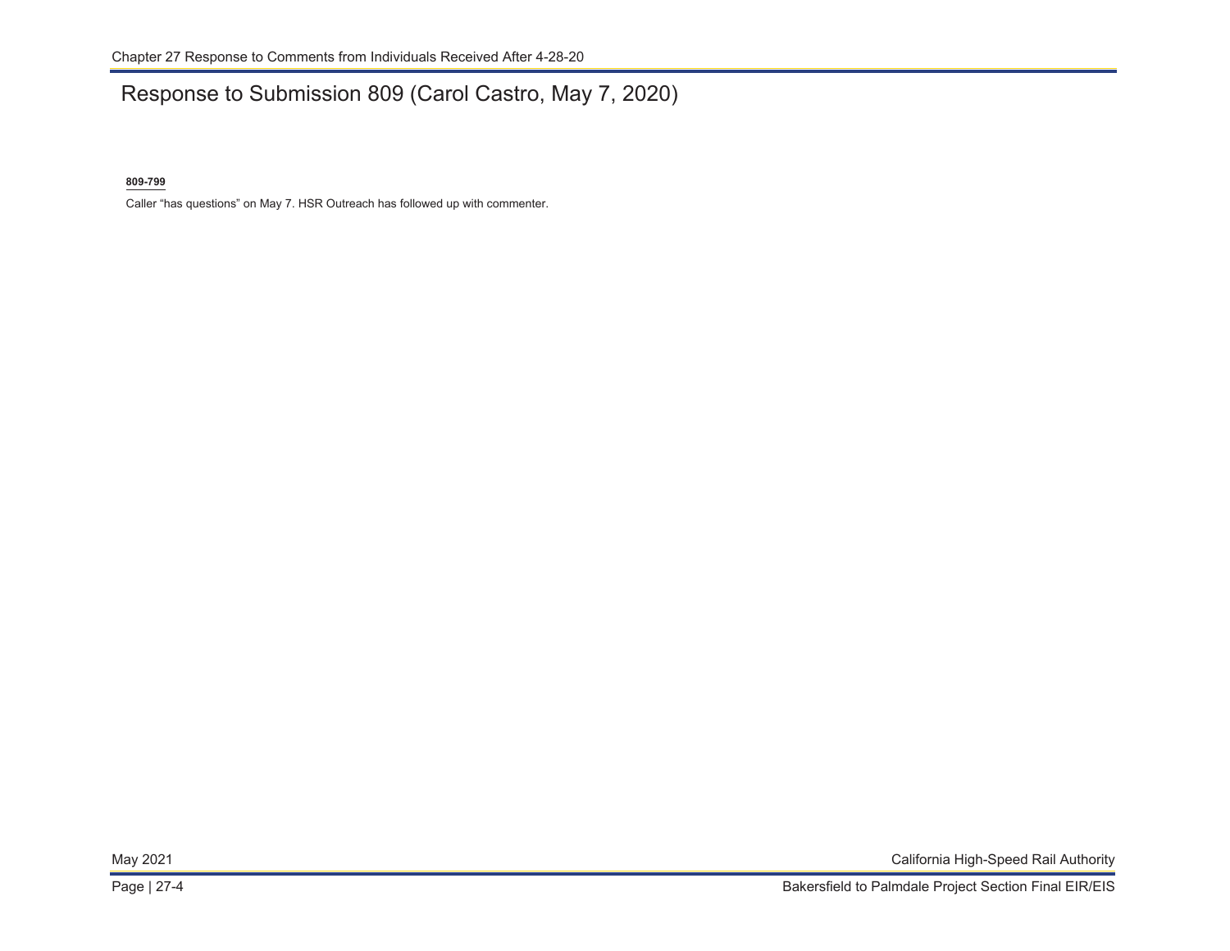## Response to Submission 809 (Carol Castro, May 7, 2020)

### **809-799**

Caller "has questions" on May 7. HSR Outreach has followed up with commenter.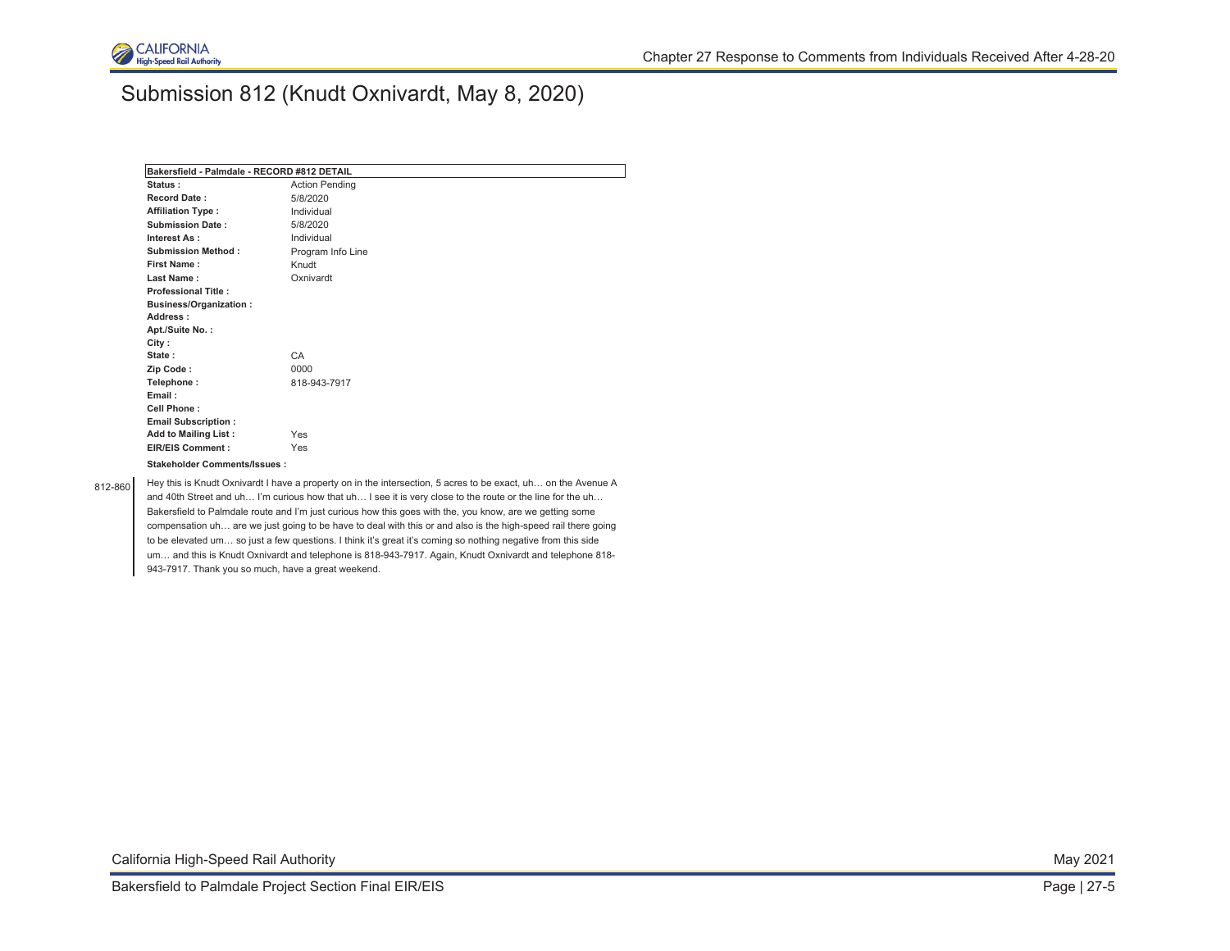

## Submission 812 (Knudt Oxnivardt, May 8, 2020)

| Bakersfield - Palmdale - RECORD #812 DETAIL |                       |  |
|---------------------------------------------|-----------------------|--|
| Status:                                     | <b>Action Pending</b> |  |
| <b>Record Date:</b>                         | 5/8/2020              |  |
| <b>Affiliation Type:</b>                    | Individual            |  |
| <b>Submission Date:</b>                     | 5/8/2020              |  |
| Interest As:                                | Individual            |  |
| <b>Submission Method:</b>                   | Program Info Line     |  |
| First Name:                                 | Knudt                 |  |
| Last Name:                                  | Oxnivardt             |  |
| <b>Professional Title:</b>                  |                       |  |
| <b>Business/Organization:</b>               |                       |  |
| Address:                                    |                       |  |
| Apt./Suite No.:                             |                       |  |
| City:                                       |                       |  |
| State:                                      | CA                    |  |
| Zip Code:                                   | 0000                  |  |
| Telephone:                                  | 818-943-7917          |  |
| Email:                                      |                       |  |
| Cell Phone:                                 |                       |  |
| <b>Email Subscription:</b>                  |                       |  |
| <b>Add to Mailing List:</b>                 | Yes                   |  |
| <b>EIR/EIS Comment:</b>                     | Yes                   |  |
| Stakeholder Comments/Issues:                |                       |  |
|                                             |                       |  |

812-860 Hey this is Knudt Oxnivardt I have a property on in the intersection, 5 acres to be exact, uh... on the Avenue A and 40th Street and uh… I'm curious how that uh… I see it is very close to the route or the line for the uh… Bakersfield to Palmdale route and I'm just curious how this goes with the, you know, are we getting some compensation uh… are we just going to be have to deal with this or and also is the high-speed rail there going to be elevated um… so just a few questions. I think it's great it's coming so nothing negative from this side um… and this is Knudt Oxnivardt and telephone is 818-943-7917. Again, Knudt Oxnivardt and telephone 818- 943-7917. Thank you so much, have a great weekend.